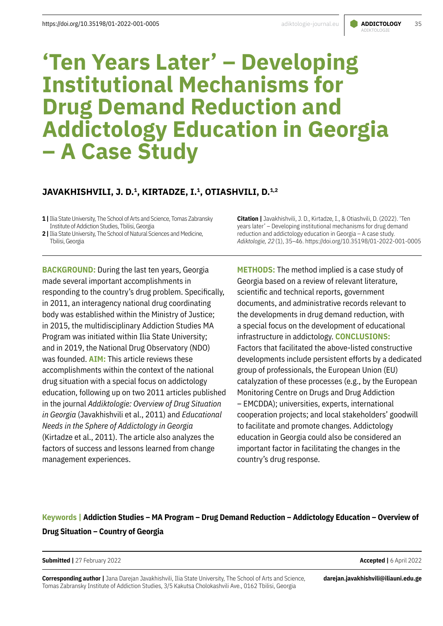# ADIKTOLOGIE

# **'Ten Years Later' – Developing Institutional Mechanisms for Drug Demand Reduction and Addictology Education in Georgia – A Case Study**

# JAVAKHISHVILI, J. D.<sup>1</sup>, KIRTADZE, I.<sup>1</sup>, OTIASHVILI, D.<sup>1,2</sup>

**1 |** Ilia State University, The School of Arts and Science, Tomas Zabransky Institute of Addiction Studies, Tbilisi, Georgia

**BACKGROUND:** During the last ten years, Georgia made several important accomplishments in responding to the country's drug problem. Specifically, in 2011, an interagency national drug coordinating body was established within the Ministry of Justice; in 2015, the multidisciplinary Addiction Studies MA Program was initiated within Ilia State University; and in 2019, the National Drug Observatory (NDO) was founded. **AIM:** This article reviews these accomplishments within the context of the national drug situation with a special focus on addictology education, following up on two 2011 articles published in the journal *Addiktologie: Overview of Drug Situation in Georgia* (Javakhishvili et al., 2011) and *Educational Needs in the Sphere of Addictology in Georgia* (Kirtadze et al., 2011). The article also analyzes the factors of success and lessons learned from change management experiences.

**Citation |** Javakhishvili, J. D., Kirtadze, I., & Otiashvili, D. (2022). 'Ten years later' – Developing institutional mechanisms for drug demand reduction and addictology education in Georgia – A case study. *Adiktologie, 22*(1), 35–46. https://doi.org/10.35198/01-2022-001-0005

**METHODS:** The method implied is a case study of Georgia based on a review of relevant literature, scientific and technical reports, government documents, and administrative records relevant to the developments in drug demand reduction, with a special focus on the development of educational infrastructure in addictology. **CONCLUSIONS:** Factors that facilitated the above-listed constructive developments include persistent efforts by a dedicated group of professionals, the European Union (EU) catalyzation of these processes (e.g., by the European Monitoring Centre on Drugs and Drug Addiction – EMCDDA); universities, experts, international cooperation projects; and local stakeholders' goodwill to facilitate and promote changes. Addictology education in Georgia could also be considered an important factor in facilitating the changes in the country's drug response.

# **Keywords | Addiction Studies – MA Program – Drug Demand Reduction – Addictology Education – Overview of Drug Situation – Country of Georgia**

#### **Submitted |** 27 February 2022 **Accepted |** 6 April 2022

**Corresponding author |** Jana Darejan Javakhishvili, Ilia State University, The School of Arts and Science, Tomas Zabransky Institute of Addiction Studies, 3/5 Kakutsa Cholokashvili Ave., 0162 Tbilisi, Georgia

**darejan.javakhishvili@iliauni.edu.ge** 

**<sup>2 |</sup>** Ilia State University, The School of Natural Sciences and Medicine, Tbilisi, Georgia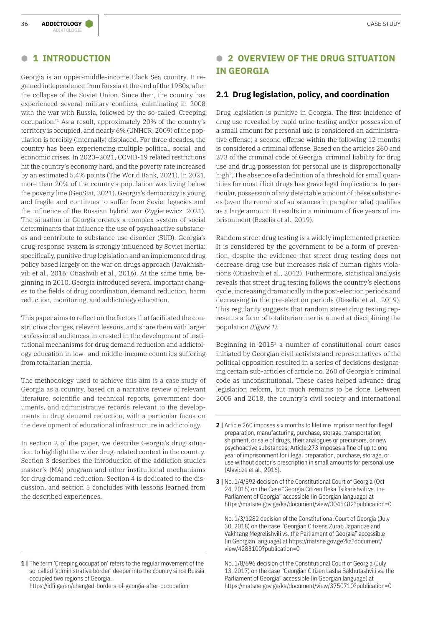### **B 1 INTRODUCTION**

ADIKTOLOGIE

Georgia is an upper-middle-income Black Sea country. It regained independence from Russia at the end of the 1980s, after the collapse of the Soviet Union. Since then, the country has experienced several military conflicts, culminating in 2008 with the war with Russia, followed by the so-called 'Creeping occupation.'1 As a result, approximately 20% of the country's territory is occupied, and nearly 6% (UNHCR, 2009) of the population is forcibly (internally) displaced. For three decades, the country has been experiencing multiple political, social, and economic crises. In 2020–2021, COVID-19 related restrictions hit the country's economy hard, and the poverty rate increased by an estimated 5.4% points (The World Bank, 2021). In 2021, more than 20% of the country's population was living below the poverty line (GeoStat, 2021). Georgia's democracy is young and fragile and continues to suffer from Soviet legacies and the influence of the Russian hybrid war (Zygierewicz, 2021). The situation in Georgia creates a complex system of social determinants that influence the use of psychoactive substances and contribute to substance use disorder (SUD). Georgia's drug-response system is strongly influenced by Soviet inertia: specifically, punitive drug legislation and an implemented drug policy based largely on the war on drugs approach (Javakhishvili et al., 2016; Otiashvili et al., 2016). At the same time, beginning in 2010, Georgia introduced several important changes to the fields of drug coordination, demand reduction, harm reduction, monitoring, and addictology education.

This paper aims to reflect on the factors that facilitated the constructive changes, relevant lessons, and share them with larger professional audiences interested in the development of institutional mechanisms for drug demand reduction and addictology education in low- and middle-income countries suffering from totalitarian inertia.

The methodology used to achieve this aim is a case study of Georgia as a country, based on a narrative review of relevant literature, scientific and technical reports, government documents, and administrative records relevant to the developments in drug demand reduction, with a particular focus on the development of educational infrastructure in addictology.

In section 2 of the paper, we describe Georgia's drug situation to highlight the wider drug-related context in the country. Section 3 describes the introduction of the addiction studies master's (MA) program and other institutional mechanisms for drug demand reduction. Section 4 is dedicated to the discussion, and section 5 concludes with lessons learned from the described experiences.

<https://idfi.ge/en/changed-borders-of-georgia-after-occupation>

# **B 2 OVERVIEW OF THE DRUG SITUATION IN GEORGIA**

### **2.1 Drug legislation, policy, and coordination**

Drug legislation is punitive in Georgia. The first incidence of drug use revealed by rapid urine testing and/or possession of a small amount for personal use is considered an administrative offense; a second offense within the following 12 months is considered a criminal offense. Based on the articles 260 and 273 of the criminal code of Georgia, criminal liability for drug use and drug possession for personal use is disproportionally high<sup>2</sup>. The absence of a definition of a threshold for small quantities for most illicit drugs has grave legal implications. In particular, possession of any detectable amount of these substances (even the remains of substances in paraphernalia) qualifies as a large amount. It results in a minimum of five years of imprisonment (Beselia et al., 2019).

Random street drug testing is a widely implemented practice. It is considered by the government to be a form of prevention, despite the evidence that street drug testing does not decrease drug use but increases risk of human rights violations (Otiashvili et al., 2012). Futhermore, statistical analysis reveals that street drug testing follows the country's elections cycle, increasing dramatically in the post-election periods and decreasing in the pre-election periods (Beselia et al., 2019). This regularity suggests that random street drug testing represents a form of totalitarian inertia aimed at disciplining the population *(Figure 1):*

Beginning in 2015<sup>3</sup> a number of constitutional court cases initiated by Georgian civil activists and representatives of the political opposition resulted in a series of decisions designating certain sub-articles of article no. 260 of Georgia's criminal code as unconstitutional. These cases helped advance drug legislation reform, but much remains to be done. Between 2005 and 2018, the country's civil society and international

No. 1/3/1282 decision of the Constitutional Court of Georgia (July 30. 2018) on the case "Georgian Citizens Zurab Japaridze and Vakhtang Megrelishvili vs. the Parliament of Georgia" accessible (in Georgian language) at [https://matsne.gov.ge?ka?document/](https://matsne.gov.ge?ka?document/view/4283100?publication=0) [view/4283100?publication=0](https://matsne.gov.ge?ka?document/view/4283100?publication=0)

No. 1/8/696 decision of the Constitutional Court of Georgia (July 13, 2017) on the case "Georgian Citizen Lasha Bakhutashvili vs. the Parliament of Georgia" accessible (in Georgian language) at <https://matsne.gov.ge/ka/document/view/3750710?publication=0>

**<sup>1 |</sup>** The term 'Creeping occupation' refers to the regular movement of the so-called 'administrative border' deeper into the country since Russia occupied two regions of Georgia.

**<sup>2 |</sup>** Article 260 imposes six months to lifetime imprisonment for illegal preparation, manufacturing, purchase, storage, transportation, shipment, or sale of drugs, their analogues or precursors, or new psychoactive substances; Article 273 imposes a fine of up to one year of imprisonment for illegal preparation, purchase, storage, or use without doctor's prescription in small amounts for personal use (Alavidze et al., 2016).

**<sup>3</sup>** | No. 1/4/592 decision of the Constitutional Court of Georgia (Oct 24, 2015) on the Case "Georgia Citizen Beka Tsikarishvili vs. the Parliament of Georgia" accessible (in Georgian language) at <https://matsne.gov.ge/ka/document/view/3045482?publication=0>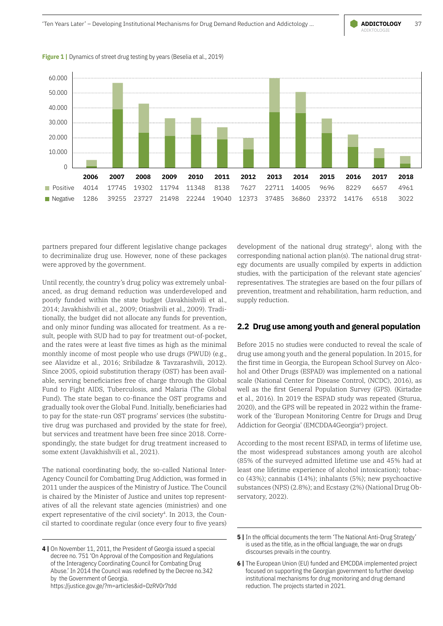



**Figure 1** | Dynamics of street drug testing by years (Beselia et al., 2019)

partners prepared four different legislative change packages to decriminalize drug use. However, none of these packages were approved by the government.

Until recently, the country's drug policy was extremely unbalanced, as drug demand reduction was underdeveloped and poorly funded within the state budget (Javakhishvili et al., 2014; Javakhishvili et al., 2009; Otiashvili et al., 2009). Traditionally, the budget did not allocate any funds for prevention, and only minor funding was allocated for treatment. As a result, people with SUD had to pay for treatment out-of-pocket, and the rates were at least five times as high as the minimal monthly income of most people who use drugs (PWUD) (e.g., see Alavidze et al., 2016; Sribiladze & Tavzarashvili, 2012). Since 2005, opioid substitution therapy (OST) has been available, serving beneficiaries free of charge through the Global Fund to Fight AIDS, Tuberculosis, and Malaria (The Global Fund). The state began to co-finance the OST programs and gradually took over the Global Fund. Initially, beneficiaries had to pay for the state-run OST programs' services (the substitutive drug was purchased and provided by the state for free), but services and treatment have been free since 2018. Correspondingly, the state budget for drug treatment increased to some extent (Javakhishvili et al., 2021).

The national coordinating body, the so-called National Inter-Agency Council for Combatting Drug Addiction, was formed in 2011 under the auspices of the Ministry of Justice. The Council is chaired by the Minister of Justice and unites top representatives of all the relevant state agencies (ministries) and one expert representative of the civil society<sup>4</sup>. In 2013, the Council started to coordinate regular (once every four to five years) development of the national drug strategy<sup>5</sup>, along with the corresponding national action plan(s). The national drug strategy documents are usually compiled by experts in addiction studies, with the participation of the relevant state agencies' representatives. The strategies are based on the four pillars of prevention, treatment and rehabilitation, harm reduction, and supply reduction.

### **2.2 Drug use among youth and general population**

Before 2015 no studies were conducted to reveal the scale of drug use among youth and the general population. In 2015, for the first time in Georgia, the European School Survey on Alcohol and Other Drugs (ESPAD) was implemented on a national scale (National Center for Disease Control, (NCDC), 2016), as well as the first General Population Survey (GPS). (Kirtadze et al., 2016). In 2019 the ESPAD study was repeated (Sturua, 2020), and the GPS will be repeated in 2022 within the framework of the 'European Monitoring Centre for Drugs and Drug Addiction for Georgia' (EMCDDA4Georgia<sup>6</sup>) project.

According to the most recent ESPAD, in terms of lifetime use, the most widespread substances among youth are alcohol (85% of the surveyed admitted lifetime use and 45% had at least one lifetime experience of alcohol intoxication); tobacco (43%); cannabis (14%); inhalants (5%); new psychoactive substances (NPS) (2.8%); and Ecstasy (2%) (National Drug Observatory, 2022).

**<sup>4 |</sup>** On November 11, 2011, the President of Georgia issued a special decree no. 751 'On Approval of the Composition and Regulations of the Interagency Coordinating Council for Combating Drug Abuse.' In 2014 the Council was redefined by the Decree no.342 by the Government of Georgia. <https://justice.gov.ge/?m=articles&id=DzRV0r7tdd>

**<sup>5</sup>** In the official documents the term 'The National Anti-Drug Strategy' is used as the title, as in the official language, the war on drugs discourses prevails in the country.

**<sup>6 |</sup>** The European Union (EU) funded and EMCDDA implemented project focused on supporting the Georgian government to further develop institutional mechanisms for drug monitoring and drug demand reduction. The projects started in 2021.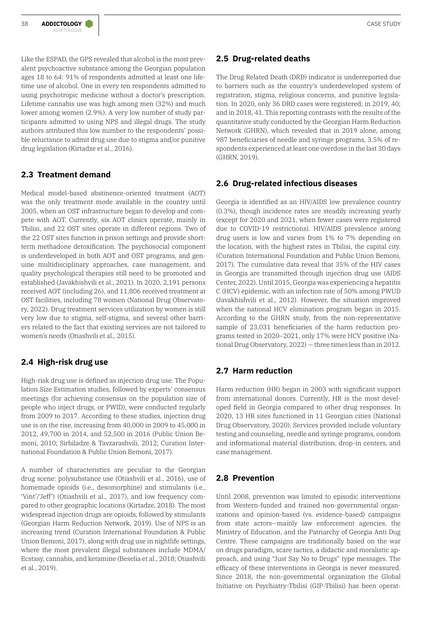Like the ESPAD, the GPS revealed that alcohol is the most prevalent psychoactive substance among the Georgian population ages 18 to 64: 91% of respondents admitted at least one lifetime use of alcohol. One in every ten respondents admitted to using psychotropic medicine without a doctor's prescription. Lifetime cannabis use was high among men (32%) and much lower among women (2.9%). A very low number of study participants admitted to using NPS and illegal drugs. The study authors attributed this low number to the respondents' possible reluctance to admit drug use due to stigma and/or punitive drug legislation (Kirtadze et al., 2016).

### **2.3 Treatment demand**

Medical model-based abstinence-oriented treatment (AOT) was the only treatment mode available in the country until 2005, when an OST infrastructure began to develop and compete with AOT. Currently, six AOT clinics operate, mainly in Tbilisi, and 22 OST sites operate in different regions. Two of the 22 OST sites function in prison settings and provide shortterm methadone detoxification. The psychosocial component is underdeveloped in both AOT and OST programs, and genuine multidisciplinary approaches, case management, and quality psychological therapies still need to be promoted and established (Javakhishvili et al., 2021). In 2020, 2,191 persons received AOT (including 26), and 11,806 received treatment at OST facilities, including 78 women (National Drug Observatory, 2022). Drug treatment services utilization by women is still very low due to stigma, self-stigma, and several other barriers related to the fact that existing services are not tailored to women's needs (Otiashvili et al., 2015).

### **2.4 High-risk drug use**

High-risk drug use is defined as injection drug use. The Population Size Estimation studies, followed by experts' consensus meetings (for achieving consensus on the population size of people who inject drugs, or PWID), were conducted regularly from 2009 to 2017. According to these studies, injection drug use is on the rise, increasing from 40,000 in 2009 to 45,000 in 2012, 49,700 in 2014, and 52,500 in 2016 (Public Union Bemoni, 2010; Sirbiladze & Tavzarashvili, 2012; Curation International Foundation & Public Union Bemoni, 2017).

A number of characteristics are peculiar to the Georgian drug scene: polysubstance use (Otiashvili et al., 2016), use of homemade opioids (i.e., desomorphine) and stimulants (i.e., 'Vint'/'Jeff') (Otiashvili et al., 2017), and low frequency compared to other geographic locations (Kirtadze, 2018). The most widespread injection drugs are opioids, followed by stimulants (Georgian Harm Reduction Network, 2019). Use of NPS is an increasing trend (Curation International Foundation & Public Union Bemoni, 2017), along with drug use in nightlife settings, where the most prevalent illegal substances include MDMA/ Ecstasy, cannabis, and ketamine (Beselia et al., 2018; Otiashvili et al., 2019).

### **2.5 Drug-related deaths**

The Drug Related Death (DRD) indicator is underreported due to barriers such as the country's underdeveloped system of registration, stigma, religious concerns, and punitive legislation. In 2020, only 36 DRD cases were registered; in 2019, 40; and in 2018, 41. This reporting contrasts with the results of the quantitative study conducted by the Georgian Harm Reduction Network (GHRN), which revealed that in 2019 alone, among 987 beneficiaries of needle and syringe programs, 3.5% of respondents experienced at least one overdose in the last 30 days (GHRN, 2019).

### **2.6 Drug-related infectious diseases**

Georgia is identified as an HIV/AIDS low prevalence country (0.3%), though incidence rates are steadily increasing yearly (except for 2020 and 2021, when fewer cases were registered due to COVID-19 restrictions). HIV/AIDS prevalence among drug users is low and varies from 1% to 7% depending on the location, with the highest rates in Tbilisi, the capital city. (Curation International Foundation and Public Union Bemoni, 2017). The cumulative data reveal that 35% of the HIV cases in Georgia are transmitted through injection drug use (AIDS Center, 2022). Until 2015, Georgia was experiencing a hepatitis C (HCV) epidemic, with an infection rate of 50% among PWUD (Javakhishvili et al., 2012). However, the situation improved when the national HCV elimination program began in 2015. According to the GHRN study, from the non-representative sample of 23,031 beneficiaries of the harm reduction programs tested in 2020–2021, only 17% were HCV positive (National Drug Observatory, 2022) — three times less than in 2012.

### **2.7 Harm reduction**

Harm reduction (HR) began in 2003 with significant support from international donors. Currently, HR is the most developed field in Georgia compared to other drug responses. In 2020, 13 HR sites functioned in 11 Georgian cities (National Drug Observatory, 2020). Services provided include voluntary testing and counseling, needle and syringe programs, condom and informational material distribution, drop-in centers, and case management.

### **2.8 Prevention**

Until 2008, prevention was limited to episodic interventions from Western-funded and trained non-governmental organizations and opinion-based (vs. evidence-based) campaigns from state actors—mainly law enforcement agencies, the Ministry of Education, and the Patriarchy of Georgia Anti Dug Centre. These campaigns are traditionally based on the war on drugs paradigm, scare tactics, a didactic and moralistic approach, and using "Just Say No to Drugs" type messages. The efficacy of these interventions in Georgia is never measured. Since 2018, the non-governmental organization the Global Initiative on Psychiatry-Tbilisi (GIP-Tbilisi) has been operat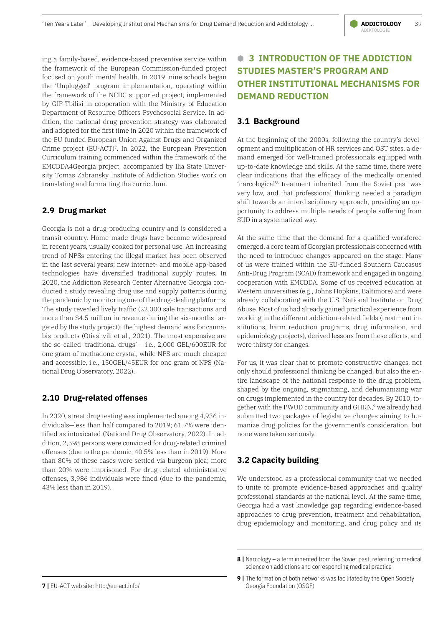ing a family-based, evidence-based preventive service within the framework of the European Commission-funded project focused on youth mental health. In 2019, nine schools began the 'Unplugged' program implementation, operating within the framework of the NCDC supported project, implemented by GIP-Tbilisi in cooperation with the Ministry of Education Department of Resource Officers Psychosocial Service. In addition, the national drug prevention strategy was elaborated and adopted for the first time in 2020 within the framework of the EU-funded European Union Against Drugs and Organized Crime project (EU-ACT)7. In 2022, the European Prevention Curriculum training commenced within the framework of the EMCDDA4Georgia project, accompanied by Ilia State University Tomas Zabransky Institute of Addiction Studies work on translating and formatting the curriculum.

### **2.9 Drug market**

Georgia is not a drug-producing country and is considered a transit country. Home-made drugs have become widespread in recent years, usually cooked for personal use. An increasing trend of NPSs entering the illegal market has been observed in the last several years; new internet- and mobile app-based technologies have diversified traditional supply routes. In 2020, the Addiction Research Center Alternative Georgia conducted a study revealing drug use and supply patterns during the pandemic by monitoring one of the drug-dealing platforms. The study revealed lively traffic (22,000 sale transactions and more than \$4.5 million in revenue during the six-months targeted by the study project); the highest demand was for cannabis products (Otiashvili et al., 2021). The most expensive are the so-called 'traditional drugs' – i.e., 2,000 GEL/600EUR for one gram of methadone crystal, while NPS are much cheaper and accessible, i.e., 150GEL/45EUR for one gram of NPS (National Drug Observatory, 2022).

### **2.10 Drug-related offenses**

In 2020, street drug testing was implemented among 4,936 individuals—less than half compared to 2019; 61.7% were identified as intoxicated (National Drug Observatory, 2022). In addition, 2,598 persons were convicted for drug-related criminal offenses (due to the pandemic, 40.5% less than in 2019). More than 80% of these cases were settled via burgeon plea; more than 20% were imprisoned. For drug-related administrative offenses, 3,986 individuals were fined (due to the pandemic, 43% less than in 2019).

# **B 3 INTRODUCTION OF THE ADDICTION STUDIES MASTER'S PROGRAM AND OTHER INSTITUTIONAL MECHANISMS FOR DEMAND REDUCTION**

### **3.1 Background**

At the beginning of the 2000s, following the country's development and multiplication of HR services and OST sites, a demand emerged for well-trained professionals equipped with up-to-date knowledge and skills. At the same time, there were clear indications that the efficacy of the medically oriented 'narcological'8 treatment inherited from the Soviet past was very low, and that professional thinking needed a paradigm shift towards an interdisciplinary approach, providing an opportunity to address multiple needs of people suffering from SUD in a systematized way.

At the same time that the demand for a qualified workforce emerged, a core team of Georgian professionals concerned with the need to introduce changes appeared on the stage. Many of us were trained within the EU-funded Southern Caucasus Anti-Drug Program (SCAD) framework and engaged in ongoing cooperation with EMCDDA. Some of us received education at Western universities (e.g., Johns Hopkins, Baltimore) and were already collaborating with the U.S. National Institute on Drug Abuse. Most of us had already gained practical experience from working in the different addiction-related fields (treatment institutions, harm reduction programs, drug information, and epidemiology projects), derived lessons from these efforts, and were thirsty for changes.

For us, it was clear that to promote constructive changes, not only should professional thinking be changed, but also the entire landscape of the national response to the drug problem, shaped by the ongoing, stigmatizing, and dehumanizing war on drugs implemented in the country for decades. By 2010, together with the PWUD community and GHRN,<sup>9</sup> we already had submitted two packages of legislative changes aiming to humanize drug policies for the government's consideration, but none were taken seriously.

### **3.2 Capacity building**

We understood as a professional community that we needed to unite to promote evidence-based approaches and quality professional standards at the national level. At the same time, Georgia had a vast knowledge gap regarding evidence-based approaches to drug prevention, treatment and rehabilitation, drug epidemiology and monitoring, and drug policy and its

**<sup>8 |</sup>** Narcology – a term inherited from the Soviet past, referring to medical science on addictions and corresponding medical practice

**<sup>9</sup>** | The formation of both networks was facilitated by the Open Society Georgia Foundation (OSGF)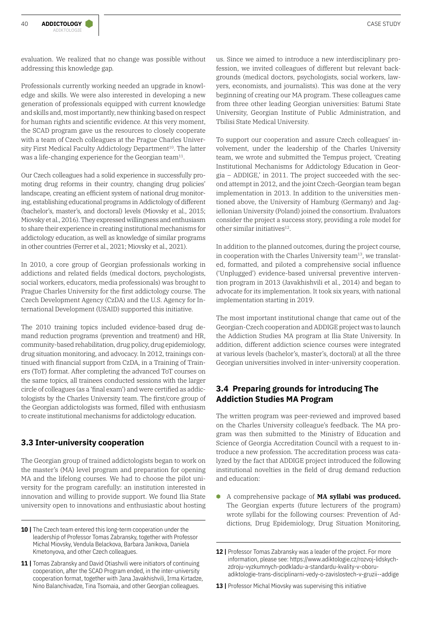evaluation. We realized that no change was possible without addressing this knowledge gap.

Professionals currently working needed an upgrade in knowledge and skills. We were also interested in developing a new generation of professionals equipped with current knowledge and skills and, most importantly, new thinking based on respect for human rights and scientific evidence. At this very moment, the SCAD program gave us the resources to closely cooperate with a team of Czech colleagues at the Prague Charles University First Medical Faculty Addictology Department<sup>10</sup>. The latter was a life-changing experience for the Georgian team<sup>11</sup>.

Our Czech colleagues had a solid experience in successfully promoting drug reforms in their country, changing drug policies' landscape, creating an efficient system of national drug monitoring, establishing educational programs in Addictology of different (bachelor's, master's, and doctoral) levels (Miovsky et al., 2015; Miovsky et al., 2016). They expressed willingness and enthusiasm to share their experience in creating institutional mechanisms for addictology education, as well as knowledge of similar programs in other countries (Ferrer et al., 2021; Miovsky et al., 2021).

In 2010, a core group of Georgian professionals working in addictions and related fields (medical doctors, psychologists, social workers, educators, media professionals) was brought to Prague Charles University for the first addictology course. The Czech Development Agency (CzDA) and the U.S. Agency for International Development (USAID) supported this initiative.

The 2010 training topics included evidence-based drug demand reduction programs (prevention and treatment) and HR, community-based rehabilitation, drug policy, drug epidemiology, drug situation monitoring, and advocacy. In 2012, trainings continued with financial support from CzDA, in a Training of Trainers (ToT) format. After completing the advanced ToT courses on the same topics, all trainees conducted sessions with the larger circle of colleagues (as a 'final exam') and were certified as addictologists by the Charles University team. The first/core group of the Georgian addictologists was formed, filled with enthusiasm to create institutional mechanisms for addictology education.

### **3.3 Inter-university cooperation**

The Georgian group of trained addictologists began to work on the master's (MA) level program and preparation for opening MA and the lifelong courses. We had to choose the pilot university for the program carefully: an institution interested in innovation and willing to provide support. We found Ilia State university open to innovations and enthusiastic about hosting

us. Since we aimed to introduce a new interdisciplinary profession, we invited colleagues of different but relevant backgrounds (medical doctors, psychologists, social workers, lawyers, economists, and journalists). This was done at the very beginning of creating our MA program. These colleagues came from three other leading Georgian universities: Batumi State University, Georgian Institute of Public Administration, and Tbilisi State Medical University.

To support our cooperation and assure Czech colleagues' involvement, under the leadership of the Charles University team, we wrote and submitted the Tempus project, 'Creating Institutional Mechanisms for Addictology Education in Georgia – ADDIGE,' in 2011. The project succeeded with the second attempt in 2012, and the joint Czech-Georgian team began implementation in 2013. In addition to the universities mentioned above, the University of Hamburg (Germany) and Jagiellonian University (Poland) joined the consortium. Evaluators consider the project a success story, providing a role model for other similar initiatives<sup>12</sup>.

In addition to the planned outcomes, during the project course, in cooperation with the Charles University team<sup>13</sup>, we translated, formatted, and piloted a comprehensive social influence ('Unplugged') evidence-based universal preventive intervention program in 2013 (Javakhishvili et al., 2014) and began to advocate for its implementation. It took six years, with national implementation starting in 2019.

The most important institutional change that came out of the Georgian-Czech cooperation and ADDIGE project was to launch the Addiction Studies MA program at Ilia State University. In addition, different addiction science courses were integrated at various levels (bachelor's, master's, doctoral) at all the three Georgian universities involved in inter-university cooperation.

### **3.4 Preparing grounds for introducing The Addiction Studies MA Program**

The written program was peer-reviewed and improved based on the Charles University colleague's feedback. The MA program was then submitted to the Ministry of Education and Science of Georgia Accreditation Council with a request to introduce a new profession. The accreditation process was catalyzed by the fact that ADDIGE project introduced the following institutional novelties in the field of drug demand reduction and education:

**B** A comprehensive package of **MA syllabi was produced.** The Georgian experts (future lecturers of the program) wrote syllabi for the following courses: Prevention of Addictions, Drug Epidemiology, Drug Situation Monitoring,

**<sup>10 |</sup>** The Czech team entered this long-term cooperation under the leadership of Professor Tomas Zabransky, together with Professor Michal Miovsky, Vendula Belackova, Barbara Janikova, Daniela Kmetonyova, and other Czech colleagues.

<sup>11 |</sup> Tomas Zabransky and David Otiashvili were initiators of continuing cooperation, after the SCAD Program ended, in the inter-university cooperation format, together with Jana Javakhishvili, Irma Kirtadze, Nino Balanchivadze, Tina Tsomaia, and other Georgian colleagues.

<sup>12 |</sup> Professor Tomas Zabransky was a leader of the project. For more information, please see: [https://www.adiktologie.cz/rozvoj-lidskych](https://www.adiktologie.cz/rozvoj-lidskych-zdroju-vyzkumnych-podkladu-a-standardu-kvality-v-oboru-adiktologie-trans-disciplinarni-vedy-o-zavislostech-v-gruzii--addige)[zdroju-vyzkumnych-podkladu-a-standardu-kvality-v-oboru](https://www.adiktologie.cz/rozvoj-lidskych-zdroju-vyzkumnych-podkladu-a-standardu-kvality-v-oboru-adiktologie-trans-disciplinarni-vedy-o-zavislostech-v-gruzii--addige)[adiktologie-trans-disciplinarni-vedy-o-zavislostech-v-gruzii--addige](https://www.adiktologie.cz/rozvoj-lidskych-zdroju-vyzkumnych-podkladu-a-standardu-kvality-v-oboru-adiktologie-trans-disciplinarni-vedy-o-zavislostech-v-gruzii--addige)

<sup>13 |</sup> Professor Michal Miovsky was supervising this initiative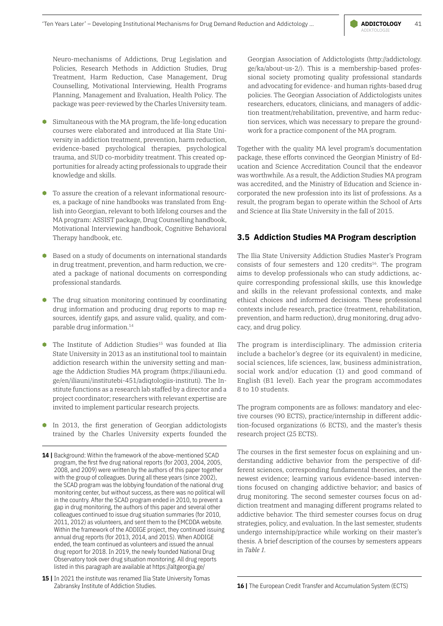Neuro-mechanisms of Addictions, Drug Legislation and Policies, Research Methods in Addiction Studies, Drug Treatment, Harm Reduction, Case Management, Drug Counselling, Motivational Interviewing, Health Programs Planning, Management and Evaluation, Health Policy. The package was peer-reviewed by the Charles University team.

- **B** Simultaneous with the MA program, the life-long education courses were elaborated and introduced at Ilia State University in addiction treatment, prevention, harm reduction, evidence-based psychological therapies, psychological trauma, and SUD co-morbidity treatment. This created opportunities for already acting professionals to upgrade their knowledge and skills.
- To assure the creation of a relevant informational resources, a package of nine handbooks was translated from English into Georgian, relevant to both lifelong courses and the MA program: ASSIST package, Drug Counselling handbook, Motivational Interviewing handbook, Cognitive Behavioral Therapy handbook, etc.
- **B** Based on a study of documents on international standards in drug treatment, prevention, and harm reduction, we created a package of national documents on corresponding professional standards.
- **B** The drug situation monitoring continued by coordinating drug information and producing drug reports to map resources, identify gaps, and assure valid, quality, and comparable drug information.14
- The Institute of Addiction Studies<sup>15</sup> was founded at Ilia State University in 2013 as an institutional tool to maintain addiction research within the university setting and manage the Addiction Studies MA program ([https://iliauni.edu.](https://iliauni.edu.ge/en/iliauni/institutebi-451/adiqtologiis-instituti) [ge/en/iliauni/institutebi-451/adiqtologiis-instituti](https://iliauni.edu.ge/en/iliauni/institutebi-451/adiqtologiis-instituti)). The Institute functions as a research lab staffed by a director and a project coordinator; researchers with relevant expertise are invited to implement particular research projects.
- **B** In 2013, the first generation of Georgian addictologists trained by the Charles University experts founded the
- 14 | Background: Within the framework of the above-mentioned SCAD program, the first five drug national reports (for 2003, 2004, 2005, 2008, and 2009) were written by the authors of this paper together with the group of colleagues. During all these years (since 2002), the SCAD program was the lobbying foundation of the national drug monitoring center, but without success, as there was no political will in the country. After the SCAD program ended in 2010, to prevent a gap in drug monitoring, the authors of this paper and several other colleagues continued to issue drug situation summaries (for 2010, 2011, 2012) as volunteers, and sent them to the EMCDDA website. Within the framework of the ADDIGE project, they continued issuing annual drug reports (for 2013, 2014, and 2015). When ADDIGE ended, the team continued as volunteers and issued the annual drug report for 2018. In 2019, the newly founded National Drug Observatory took over drug situation monitoring. All drug reports listed in this paragraph are available at <https://altgeorgia.ge/>
- 15 | In 2021 the institute was renamed Ilia State University Tomas Zabransky Institute of Addiction Studies.

Georgian Association of Addictologists ([http://addictology.](http://addictology.ge/ka/about-us-2/) [ge/ka/about-us-2/](http://addictology.ge/ka/about-us-2/)). This is a membership-based professional society promoting quality professional standards and advocating for evidence- and human rights-based drug policies. The Georgian Association of Addictologists unites researchers, educators, clinicians, and managers of addiction treatment/rehabilitation, preventive, and harm reduction services, which was necessary to prepare the groundwork for a practice component of the MA program.

Together with the quality MA level program's documentation package, these efforts convinced the Georgian Ministry of Education and Science Accreditation Council that the endeavor was worthwhile. As a result, the Addiction Studies MA program was accredited, and the Ministry of Education and Science incorporated the new profession into its list of professions. As a result, the program began to operate within the School of Arts and Science at Ilia State University in the fall of 2015.

### **3.5 Addiction Studies MA Program description**

The Ilia State University Addiction Studies Master's Program consists of four semesters and 120 credits<sup>16</sup>. The program aims to develop professionals who can study addictions, acquire corresponding professional skills, use this knowledge and skills in the relevant professional contexts, and make ethical choices and informed decisions. These professional contexts include research, practice (treatment, rehabilitation, prevention, and harm reduction), drug monitoring, drug advocacy, and drug policy.

The program is interdisciplinary. The admission criteria include a bachelor's degree (or its equivalent) in medicine, social sciences, life sciences, law, business administration, social work and/or education (1) and good command of English (B1 level). Each year the program accommodates 8 to 10 students.

The program components are as follows: mandatory and elective courses (90 ECTS), practice/internship in different addiction-focused organizations (6 ECTS), and the master's thesis research project (25 ECTS).

The courses in the first semester focus on explaining and understanding addictive behavior from the perspective of different sciences, corresponding fundamental theories, and the newest evidence; learning various evidence-based interventions focused on changing addictive behavior; and basics of drug monitoring. The second semester courses focus on addiction treatment and managing different programs related to addictive behavior. The third semester courses focus on drug strategies, policy, and evaluation. In the last semester, students undergo internship/practice while working on their master's thesis. A brief description of the courses by semesters appears in *Table 1.*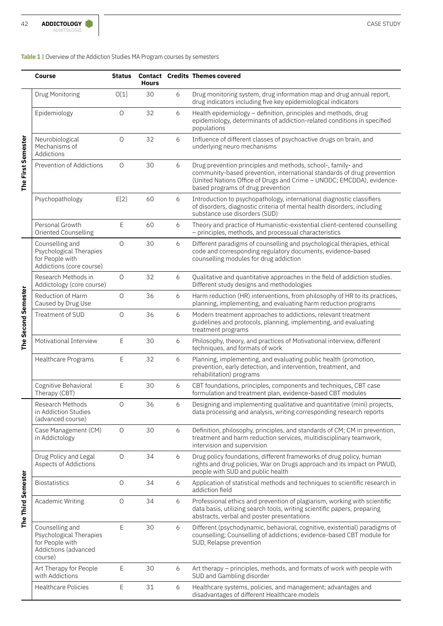### **Table 1 |** Overview of the Addiction Studies MA Program courses by semesters

|                     | Course                                                                                           | <b>Status</b> | <b>Hours</b> |   | <b>Contact Credits Themes covered</b>                                                                                                                                                                                                                |
|---------------------|--------------------------------------------------------------------------------------------------|---------------|--------------|---|------------------------------------------------------------------------------------------------------------------------------------------------------------------------------------------------------------------------------------------------------|
| The First Semester  | Drug Monitoring                                                                                  | O[1]          | 30           | 6 | Drug monitoring system, drug information map and drug annual report,<br>drug indicators including five key epidemiological indicators                                                                                                                |
|                     | Epidemiology                                                                                     | $\bigcirc$    | 32           | 6 | Health epidemiology - definition, principles and methods, drug<br>epidemiology, determinants of addiction-related conditions in specified<br>populations                                                                                             |
|                     | Neurobiological<br>Mechanisms of<br>Addictions                                                   | $\bigcirc$    | 32           | 6 | Influence of different classes of psychoactive drugs on brain, and<br>underlying neuro mechanisms                                                                                                                                                    |
|                     | Prevention of Addictions                                                                         | 0             | 30           | 6 | Drug prevention principles and methods, school-, family- and<br>community-based prevention, international standards of drug prevention<br>(United Nations Office of Drugs and Crime - UNODC; EMCDDA), evidence-<br>based programs of drug prevention |
|                     | Psychopathology                                                                                  | E[2]          | 60           | 6 | Introduction to psychopathology, international diagnostic classifiers<br>of disorders, diagnostic criteria of mental health disorders, including<br>substance use disorders (SUD)                                                                    |
|                     | Personal Growth<br>Oriented Counselling                                                          | Е             | 60           | 6 | Theory and practice of Humanistic-existential client-centered counselling<br>- principles, methods, and processual characteristics                                                                                                                   |
| The Second Semester | Counselling and<br>Psychological Therapies<br>for People with<br>Addictions (core course)        | $\bigcirc$    | 30           | 6 | Different paradigms of counselling and psychological therapies, ethical<br>code and corresponding regulatory documents, evidence-based<br>counselling modules for drug addiction                                                                     |
|                     | Research Methods in<br>Addictology (core course)                                                 | $\bigcirc$    | 32           | 6 | Qualitative and quantitative approaches in the field of addiction studies.<br>Different study designs and methodologies                                                                                                                              |
|                     | Reduction of Harm<br>Caused by Drug Use                                                          | $\bigcirc$    | 36           | 6 | Harm reduction (HR) interventions, from philosophy of HR to its practices,<br>planning, implementing, and evaluating harm reduction programs                                                                                                         |
|                     | Treatment of SUD                                                                                 | O             | 36           | 6 | Modern treatment approaches to addictions, relevant treatment<br>guidelines and protocols, planning, implementing, and evaluating<br>treatment programs                                                                                              |
|                     | Motivational Interview                                                                           | Е             | 30           | 6 | Philosophy, theory, and practices of Motivational interview, different<br>techniques, and formats of work                                                                                                                                            |
|                     | Healthcare Programs                                                                              | Ε             | 32           | 6 | Planning, implementing, and evaluating public health (promotion,<br>prevention, early detection, and intervention, treatment, and<br>rehabilitation) programs                                                                                        |
|                     | Cognitive Behavioral<br>Therapy (CBT)                                                            | E             | 30           | 6 | CBT foundations, principles, components and techniques, CBT case<br>formulation and treatment plan, evidence-based CBT modules                                                                                                                       |
| The Third Semester  | Research Methods<br>in Addiction Studies<br>(advanced course)                                    | 0             | 36           | 6 | Designing and implementing qualitative and quantitative (mini) projects,<br>data processing and analysis, writing corresponding research reports                                                                                                     |
|                     | Case Management (CM)<br>in Addictology                                                           | $\bigcirc$    | 30           | 6 | Definition, philosophy, principles, and standards of CM; CM in prevention,<br>treatment and harm reduction services, multidisciplinary teamwork,<br>intervision and supervision                                                                      |
|                     | Drug Policy and Legal<br>Aspects of Addictions                                                   | $\bigcirc$    | 34           | 6 | Drug policy foundations, different frameworks of drug policy, human<br>rights and drug policies, War on Drugs approach and its impact on PWUD,<br>people with SUD and public health                                                                  |
|                     | <b>Biostatistics</b>                                                                             | $\bigcirc$    | 34           | 6 | Application of statistical methods and techniques to scientific research in<br>addiction field                                                                                                                                                       |
|                     | Academic Writing                                                                                 | $\circ$       | 34           | 6 | Professional ethics and prevention of plagiarism, working with scientific<br>data basis, utilizing search tools, writing scientific papers, preparing<br>abstracts, verbal and poster presentations                                                  |
|                     | Counselling and<br>Psychological Therapies<br>for People with<br>Addictions (advanced<br>course) | E             | 30           | 6 | Different (psychodynamic, behavioral, cognitive, existential) paradigms of<br>counselling; Counselling of addictions; evidence-based CBT module for<br>SUD, Relapse prevention                                                                       |
|                     | Art Therapy for People<br>with Addictions                                                        | Ε             | 30           | 6 | Art therapy – principles, methods, and formats of work with people with<br>SUD and Gambling disorder                                                                                                                                                 |
|                     | <b>Healthcare Policies</b>                                                                       | Ε             | 31           | 6 | Healthcare systems, policies, and management; advantages and<br>disadvantages of different Healthcare models                                                                                                                                         |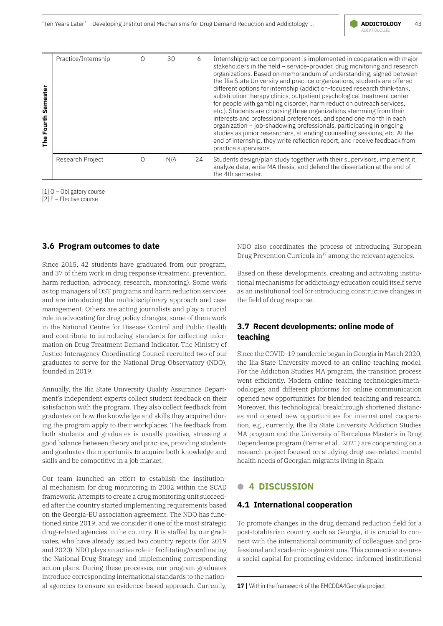

| Semester<br>Fourth<br>The | Practice/Internship | ( ) | 30  | 6  | Internship/practice component is implemented in cooperation with major<br>stakeholders in the field - service-provider, drug monitoring and research<br>organizations. Based on memorandum of understanding, signed between<br>the Ilia State University and practice organizations, students are offered<br>different options for internship (addiction-focused research think-tank,<br>substitution therapy clinics, outpatient psychological treatment center<br>for people with gambling disorder, harm reduction outreach services,<br>etc.). Students are choosing three organizations stemming from their<br>interests and professional preferences, and spend one month in each<br>organization - job-shadowing professionals, participating in ongoing<br>studies as junior researchers, attending counselling sessions, etc. At the<br>end of internship, they write reflection report, and receive feedback from<br>practice supervisors. |
|---------------------------|---------------------|-----|-----|----|------------------------------------------------------------------------------------------------------------------------------------------------------------------------------------------------------------------------------------------------------------------------------------------------------------------------------------------------------------------------------------------------------------------------------------------------------------------------------------------------------------------------------------------------------------------------------------------------------------------------------------------------------------------------------------------------------------------------------------------------------------------------------------------------------------------------------------------------------------------------------------------------------------------------------------------------------|
|                           | Research Project    | 0   | N/A | 24 | Students design/plan study together with their supervisors, implement it,<br>analyze data, write MA thesis, and defend the dissertation at the end of<br>the 4th semester.                                                                                                                                                                                                                                                                                                                                                                                                                                                                                                                                                                                                                                                                                                                                                                           |

[1] O – Obligatory course

[2] E – Elective course

### **3.6 Program outcomes to date**

Since 2015, 42 students have graduated from our program, and 37 of them work in drug response (treatment, prevention, harm reduction, advocacy, research, monitoring). Some work as top managers of OST programs and harm reduction services and are introducing the multidisciplinary approach and case management. Others are acting journalists and play a crucial role in advocating for drug policy changes; some of them work in the National Centre for Disease Control and Public Health and contribute to introducing standards for collecting information on Drug Treatment Demand Indicator. The Ministry of Justice Interagency Coordinating Council recruited two of our graduates to serve for the National Drug Observatory (NDO), founded in 2019.

Annually, the Ilia State University Quality Assurance Department's independent experts collect student feedback on their satisfaction with the program. They also collect feedback from graduates on how the knowledge and skills they acquired during the program apply to their workplaces. The feedback from both students and graduates is usually positive, stressing a good balance between theory and practice, providing students and graduates the opportunity to acquire both knowledge and skills and be competitive in a job market.

Our team launched an effort to establish the institutional mechanism for drug monitoring in 2002 within the SCAD framework. Attempts to create a drug monitoring unit succeeded after the country started implementing requirements based on the Georgia-EU association agreement. The NDO has functioned since 2019, and we consider it one of the most strategic drug-related agencies in the country. It is staffed by our graduates, who have already issued two country reports (for 2019 and 2020). NDO plays an active role in facilitating/coordinating the National Drug Strategy and implementing corresponding action plans. During these processes, our program graduates introduce corresponding international standards to the national agencies to ensure an evidence-based approach. Currently,

NDO also coordinates the process of introducing European Drug Prevention Curricula in<sup>17</sup> among the relevant agencies.

Based on these developments, creating and activating institutional mechanisms for addictology education could itself serve as an institutional tool for introducing constructive changes in the field of drug response.

### **3.7 Recent developments: online mode of teaching**

Since the COVID-19 pandemic began in Georgia in March 2020, the Ilia State University moved to an online teaching model. For the Addiction Studies MA program, the transition process went efficiently. Modern online teaching technologies/methodologies and different platforms for online communication opened new opportunities for blended teaching and research. Moreover, this technological breakthrough shortened distances and opened new opportunities for international cooperation, e.g., currently, the Ilia State University Addiction Studies MA program and the University of Barcelona Master's in Drug Dependence program (Ferrer et al., 2021) are cooperating on a research project focused on studying drug use-related mental health needs of Georgian migrants living in Spain.

### **B 4 DISCUSSION**

#### **4.1 International cooperation**

To promote changes in the drug demand reduction field for a post-totalitarian country such as Georgia, it is crucial to connect with the international community of colleagues and professional and academic organizations. This connection assures a social capital for promoting evidence-informed institutional

**<sup>17 |</sup>** Within the framework of the EMCDDA4Georgia project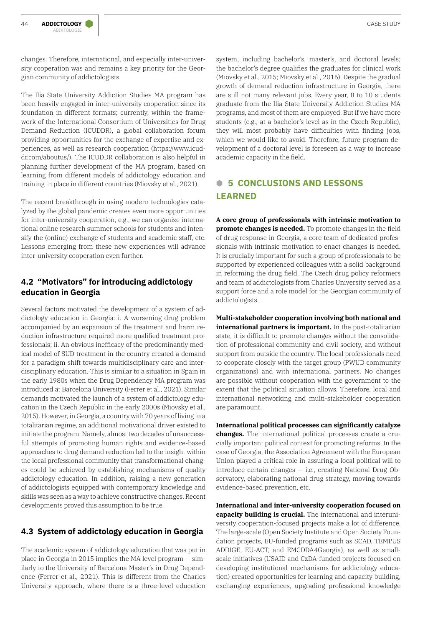changes. Therefore, international, and especially inter-university cooperation was and remains a key priority for the Georgian community of addictologists.

The Ilia State University Addiction Studies MA program has been heavily engaged in inter-university cooperation since its foundation in different formats; currently, within the framework of the International Consortium of Universities for Drug Demand Reduction (ICUDDR), a global collaboration forum providing opportunities for the exchange of expertise and experiences, as well as research cooperation ([https://www.icud](https://www.icuddr.com/aboutus/)[dr.com/aboutus/](https://www.icuddr.com/aboutus/)). The ICUDDR collaboration is also helpful in planning further development of the MA program, based on learning from different models of addictology education and training in place in different countries (Miovsky et al., 2021).

The recent breakthrough in using modern technologies catalyzed by the global pandemic creates even more opportunities for inter-university cooperation, e.g., we can organize international online research summer schools for students and intensify the (online) exchange of students and academic staff, etc. Lessons emerging from these new experiences will advance inter-university cooperation even further.

### **4.2 "Motivators" for introducing addictology education in Georgia**

Several factors motivated the development of a system of addictology education in Georgia: i. A worsening drug problem accompanied by an expansion of the treatment and harm reduction infrastructure required more qualified treatment professionals; ii. An obvious inefficacy of the predominantly medical model of SUD treatment in the country created a demand for a paradigm shift towards multidisciplinary care and interdisciplinary education. This is similar to a situation in Spain in the early 1980s when the Drug Dependency MA program was introduced at Barcelona University (Ferrer et al., 2021). Similar demands motivated the launch of a system of addictology education in the Czech Republic in the early 2000s (Miovsky et al., 2015). However, in Georgia, a country with 70 years of living in a totalitarian regime, an additional motivational driver existed to initiate the program. Namely, almost two decades of unsuccessful attempts of promoting human rights and evidence-based approaches to drug demand reduction led to the insight within the local professional community that transformational changes could be achieved by establishing mechanisms of quality addictology education. In addition, raising a new generation of addictologists equipped with contemporary knowledge and skills was seen as a way to achieve constructive changes. Recent developments proved this assumption to be true.

### **4.3 System of addictology education in Georgia**

The academic system of addictology education that was put in place in Georgia in 2015 implies the MA level program — similarly to the University of Barcelona Master's in Drug Dependence (Ferrer et al., 2021). This is different from the Charles University approach, where there is a three-level education system, including bachelor's, master's, and doctoral levels; the bachelor's degree qualifies the graduates for clinical work (Miovsky et al., 2015; Miovsky et al., 2016). Despite the gradual growth of demand reduction infrastructure in Georgia, there are still not many relevant jobs. Every year, 8 to 10 students graduate from the Ilia State University Addiction Studies MA programs, and most of them are employed. But if we have more students (e.g., at a bachelor's level as in the Czech Republic), they will most probably have difficulties with finding jobs, which we would like to avoid. Therefore, future program development of a doctoral level is foreseen as a way to increase academic capacity in the field.

# **B 5 CONCLUSIONS AND LESSONS LEARNED**

**A core group of professionals with intrinsic motivation to promote changes is needed.** To promote changes in the field of drug response in Georgia, a core team of dedicated professionals with intrinsic motivation to enact changes is needed. It is crucially important for such a group of professionals to be supported by experienced colleagues with a solid background in reforming the drug field. The Czech drug policy reformers and team of addictologists from Charles University served as a support force and a role model for the Georgian community of addictologists.

**Multi-stakeholder cooperation involving both national and international partners is important.** In the post-totalitarian state, it is difficult to promote changes without the consolidation of professional community and civil society, and without support from outside the country. The local professionals need to cooperate closely with the target group (PWUD community organizations) and with international partners. No changes are possible without cooperation with the government to the extent that the political situation allows. Therefore, local and international networking and multi-stakeholder cooperation are paramount.

**International political processes can significantly catalyze changes.** The international political processes create a crucially important political context for promoting reforms. In the case of Georgia, the Association Agreement with the European Union played a critical role in assuring a local political will to introduce certain changes  $-$  i.e., creating National Drug Observatory, elaborating national drug strategy, moving towards evidence-based prevention, etc.

**International and inter-university cooperation focused on capacity building is crucial.** The international and interuniversity cooperation-focused projects make a lot of difference. The large-scale (Open Society Institute and Open Society Foundation projects, EU-funded programs such as SCAD, TEMPUS ADDIGE, EU-ACT, and EMCDDA4Georgia), as well as smallscale initiatives (USAID and CzDA-funded projects focused on developing institutional mechanisms for addictology education) created opportunities for learning and capacity building, exchanging experiences, upgrading professional knowledge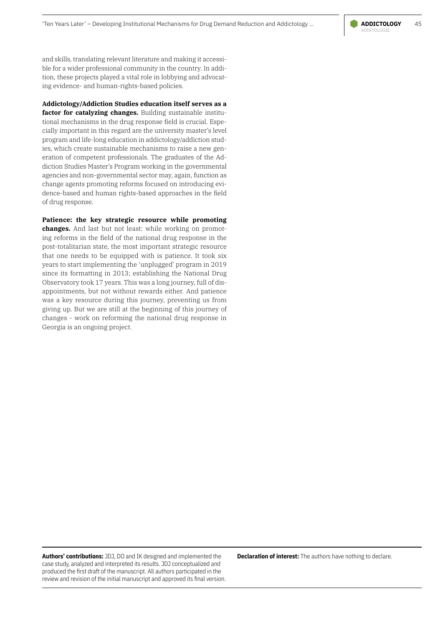

and skills, translating relevant literature and making it accessible for a wider professional community in the country. In addition, these projects played a vital role in lobbying and advocating evidence- and human-rights-based policies.

**Addictology/Addiction Studies education itself serves as a factor for catalyzing changes.** Building sustainable institutional mechanisms in the drug response field is crucial. Especially important in this regard are the university master's level program and life-long education in addictology/addiction studies, which create sustainable mechanisms to raise a new generation of competent professionals. The graduates of the Addiction Studies Master's Program working in the governmental agencies and non-governmental sector may, again, function as change agents promoting reforms focused on introducing evidence-based and human rights-based approaches in the field of drug response.

**Patience: the key strategic resource while promoting changes.** And last but not least: while working on promoting reforms in the field of the national drug response in the post-totalitarian state, the most important strategic resource that one needs to be equipped with is patience. It took six years to start implementing the 'unplugged' program in 2019 since its formatting in 2013; establishing the National Drug Observatory took 17 years. This was a long journey, full of disappointments, but not without rewards either. And patience was a key resource during this journey, preventing us from giving up. But we are still at the beginning of this journey of changes - work on reforming the national drug response in Georgia is an ongoing project.

**Authors' contributions:** JDJ, DO and IK designed and implemented the case study, analyzed and interpreted its results. JDJ conceptualized and produced the first draft of the manuscript. All authors participated in the review and revision of the initial manuscript and approved its final version. **Declaration of interest:** The authors have nothing to declare.